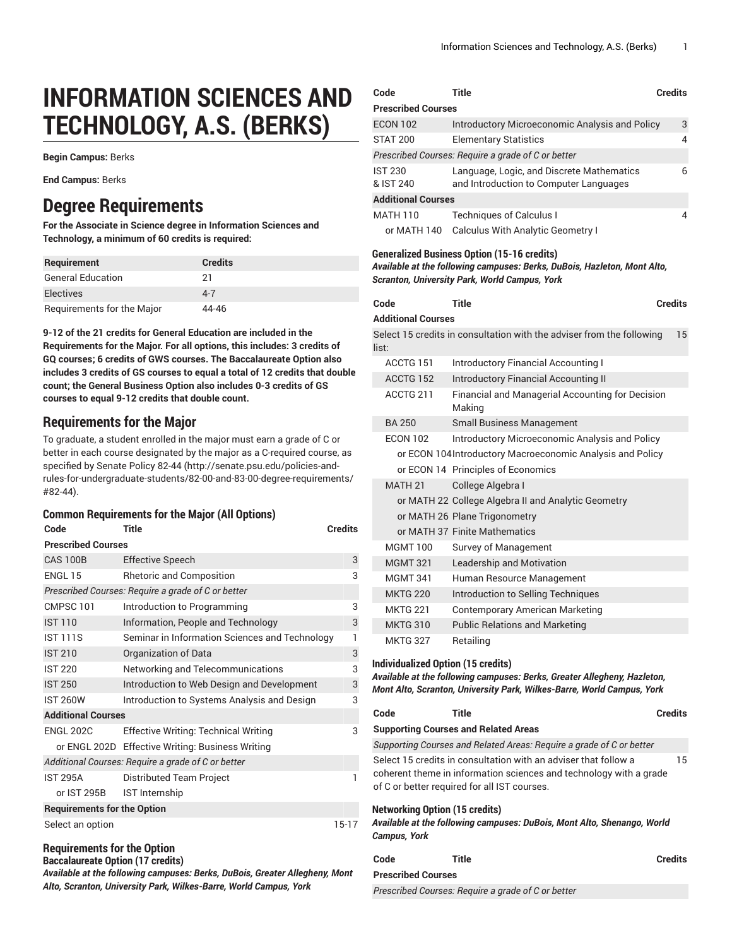# **INFORMATION SCIENCES AND TECHNOLOGY, A.S. (BERKS)**

**Begin Campus:** Berks

**End Campus:** Berks

# **Degree Requirements**

**For the Associate in Science degree in Information Sciences and Technology, a minimum of 60 credits is required:**

| <b>Requirement</b>         | <b>Credits</b> |
|----------------------------|----------------|
| <b>General Education</b>   | 21             |
| Electives                  | $4 - 7$        |
| Requirements for the Major | 44-46          |

**9-12 of the 21 credits for General Education are included in the Requirements for the Major. For all options, this includes: 3 credits of GQ courses; 6 credits of GWS courses. The Baccalaureate Option also includes 3 credits of GS courses to equal a total of 12 credits that double count; the General Business Option also includes 0-3 credits of GS courses to equal 9-12 credits that double count.**

# **Requirements for the Major**

To graduate, a student enrolled in the major must earn a grade of C or better in each course designated by the major as a C-required course, as specified by [Senate](http://senate.psu.edu/policies-and-rules-for-undergraduate-students/82-00-and-83-00-degree-requirements/#82-44) Policy 82-44 ([http://senate.psu.edu/policies-and](http://senate.psu.edu/policies-and-rules-for-undergraduate-students/82-00-and-83-00-degree-requirements/#82-44)[rules-for-undergraduate-students/82-00-and-83-00-degree-requirements/](http://senate.psu.edu/policies-and-rules-for-undergraduate-students/82-00-and-83-00-degree-requirements/#82-44) [#82-44](http://senate.psu.edu/policies-and-rules-for-undergraduate-students/82-00-and-83-00-degree-requirements/#82-44)).

# **Common Requirements for the Major (All Options)**

| Code                               | Title<br><b>Credits</b>                            |       |  |  |
|------------------------------------|----------------------------------------------------|-------|--|--|
| <b>Prescribed Courses</b>          |                                                    |       |  |  |
| <b>CAS 100B</b>                    | <b>Effective Speech</b>                            | 3     |  |  |
| ENGL 15                            | <b>Rhetoric and Composition</b>                    | 3     |  |  |
|                                    | Prescribed Courses: Require a grade of C or better |       |  |  |
| CMPSC <sub>101</sub>               | Introduction to Programming                        | 3     |  |  |
| <b>IST 110</b>                     | Information, People and Technology                 | 3     |  |  |
| <b>IST 111S</b>                    | Seminar in Information Sciences and Technology     | 1     |  |  |
| <b>IST 210</b>                     | Organization of Data                               | 3     |  |  |
| <b>IST 220</b>                     | Networking and Telecommunications                  | 3     |  |  |
| <b>IST 250</b>                     | Introduction to Web Design and Development         | 3     |  |  |
| <b>IST 260W</b>                    | Introduction to Systems Analysis and Design        | 3     |  |  |
| <b>Additional Courses</b>          |                                                    |       |  |  |
| <b>ENGL 202C</b>                   | <b>Effective Writing: Technical Writing</b>        | 3     |  |  |
|                                    | or ENGL 202D Effective Writing: Business Writing   |       |  |  |
|                                    | Additional Courses: Require a grade of C or better |       |  |  |
| <b>IST 295A</b>                    | Distributed Team Project                           | 1     |  |  |
| or IST 295B                        | IST Internship                                     |       |  |  |
| <b>Requirements for the Option</b> |                                                    |       |  |  |
| Select an option                   |                                                    | 15-17 |  |  |

# **Requirements for the Option**

**Baccalaureate Option (17 credits)**

*Available at the following campuses: Berks, DuBois, Greater Allegheny, Mont Alto, Scranton, University Park, Wilkes-Barre, World Campus, York*

| Code                        | Title<br><b>Credits</b>                                                             |   |
|-----------------------------|-------------------------------------------------------------------------------------|---|
| <b>Prescribed Courses</b>   |                                                                                     |   |
| <b>ECON 102</b>             | Introductory Microeconomic Analysis and Policy                                      | 3 |
| <b>STAT 200</b>             | <b>Elementary Statistics</b>                                                        | 4 |
|                             | Prescribed Courses: Require a grade of C or better                                  |   |
| <b>IST 230</b><br>& IST 240 | Language, Logic, and Discrete Mathematics<br>and Introduction to Computer Languages | 6 |
| <b>Additional Courses</b>   |                                                                                     |   |
| <b>MATH 110</b>             | <b>Techniques of Calculus I</b>                                                     | 4 |
| or MATH 140                 | Calculus With Analytic Geometry I                                                   |   |

#### **Generalized Business Option (15-16 credits)**

*Available at the following campuses: Berks, DuBois, Hazleton, Mont Alto, Scranton, University Park, World Campus, York*

| Code                      | Title                                                                 | <b>Credits</b> |
|---------------------------|-----------------------------------------------------------------------|----------------|
| <b>Additional Courses</b> |                                                                       |                |
| list:                     | Select 15 credits in consultation with the adviser from the following | 15             |
| ACCTG 151                 | <b>Introductory Financial Accounting I</b>                            |                |
| ACCTG 152                 | <b>Introductory Financial Accounting II</b>                           |                |
| ACCTG 211                 | Financial and Managerial Accounting for Decision<br>Making            |                |
| <b>BA 250</b>             | <b>Small Business Management</b>                                      |                |
| <b>ECON 102</b>           | Introductory Microeconomic Analysis and Policy                        |                |
|                           | or ECON 104Introductory Macroeconomic Analysis and Policy             |                |
|                           | or ECON 14 Principles of Economics                                    |                |
| <b>MATH 21</b>            | College Algebra I                                                     |                |
|                           | or MATH 22 College Algebra II and Analytic Geometry                   |                |
|                           | or MATH 26 Plane Trigonometry                                         |                |
|                           | or MATH 37 Finite Mathematics                                         |                |
| <b>MGMT 100</b>           | <b>Survey of Management</b>                                           |                |
| <b>MGMT 321</b>           | Leadership and Motivation                                             |                |
| <b>MGMT 341</b>           | Human Resource Management                                             |                |
| <b>MKTG 220</b>           | Introduction to Selling Techniques                                    |                |
| <b>MKTG 221</b>           | <b>Contemporary American Marketing</b>                                |                |
| <b>MKTG 310</b>           | <b>Public Relations and Marketing</b>                                 |                |
| <b>MKTG 327</b>           | Retailing                                                             |                |

#### **Individualized Option (15 credits)**

*Available at the following campuses: Berks, Greater Allegheny, Hazleton, Mont Alto, Scranton, University Park, Wilkes-Barre, World Campus, York*

| Code                                           | Title |                                                                                                                                       | <b>Credits</b> |
|------------------------------------------------|-------|---------------------------------------------------------------------------------------------------------------------------------------|----------------|
| <b>Supporting Courses and Related Areas</b>    |       |                                                                                                                                       |                |
|                                                |       | Supporting Courses and Related Areas: Require a grade of C or better                                                                  |                |
| of C or better required for all IST courses.   |       | Select 15 credits in consultation with an adviser that follow a<br>coherent theme in information sciences and technology with a grade | 15             |
| Networking Option (15 credits)<br>Campus, York |       | Available at the following campuses: DuBois, Mont Alto, Shenango, World                                                               |                |
| Code                                           | Title |                                                                                                                                       | <b>Credits</b> |
| <b>Prescribed Courses</b>                      |       |                                                                                                                                       |                |

*Prescribed Courses: Require a grade of C or better*